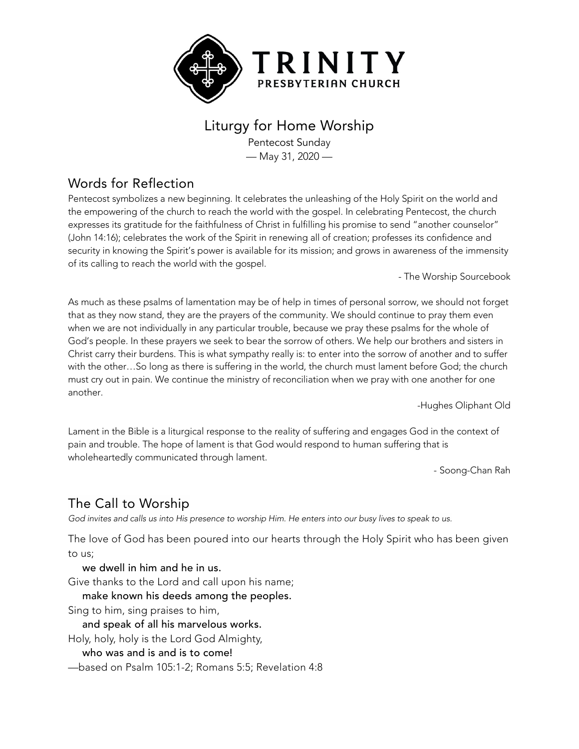

# Liturgy for Home Worship

Pentecost Sunday — May 31, 2020 —

### Words for Reflection

Pentecost symbolizes a new beginning. It celebrates the unleashing of the Holy Spirit on the world and the empowering of the church to reach the world with the gospel. In celebrating Pentecost, the church expresses its gratitude for the faithfulness of Christ in fulfilling his promise to send "another counselor" (John 14:16); celebrates the work of the Spirit in renewing all of creation; professes its confidence and security in knowing the Spirit's power is available for its mission; and grows in awareness of the immensity of its calling to reach the world with the gospel.

- The Worship Sourcebook

As much as these psalms of lamentation may be of help in times of personal sorrow, we should not forget that as they now stand, they are the prayers of the community. We should continue to pray them even when we are not individually in any particular trouble, because we pray these psalms for the whole of God's people. In these prayers we seek to bear the sorrow of others. We help our brothers and sisters in Christ carry their burdens. This is what sympathy really is: to enter into the sorrow of another and to suffer with the other…So long as there is suffering in the world, the church must lament before God; the church must cry out in pain. We continue the ministry of reconciliation when we pray with one another for one another.

-Hughes Oliphant Old

Lament in the Bible is a liturgical response to the reality of suffering and engages God in the context of pain and trouble. The hope of lament is that God would respond to human suffering that is wholeheartedly communicated through lament.

- Soong-Chan Rah

# The Call to Worship

God invites and calls us into His presence to worship Him. He enters into our busy lives to speak to us.

The love of God has been poured into our hearts through the Holy Spirit who has been given to us;

we dwell in him and he in us.

Give thanks to the Lord and call upon his name;

make known his deeds among the peoples.

Sing to him, sing praises to him,

and speak of all his marvelous works.

Holy, holy, holy is the Lord God Almighty,

who was and is and is to come!

—based on Psalm 105:1-2; Romans 5:5; Revelation 4:8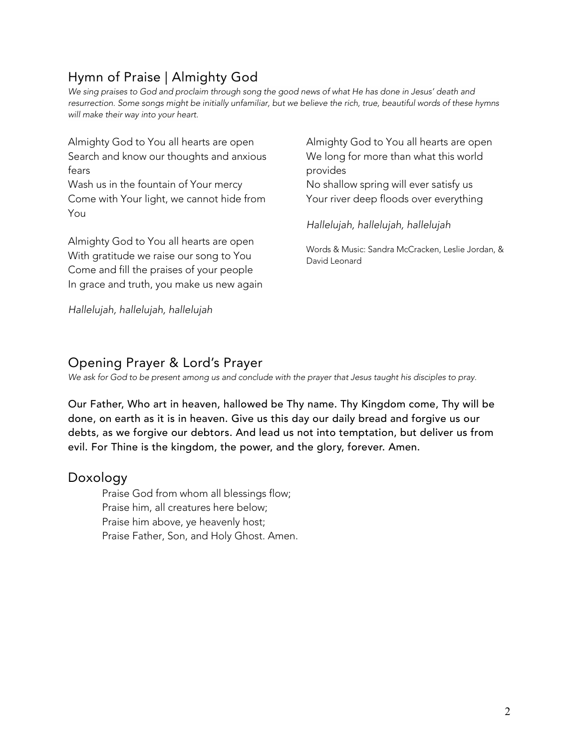# Hymn of Praise | Almighty God

We sing praises to God and proclaim through song the good news of what He has done in Jesus' death and resurrection. Some songs might be initially unfamiliar, but we believe the rich, true, beautiful words of these hymns *will make their way into your heart.*

| Almighty God to You all hearts are open                                                                                                                                     | Almighty God to You all hearts are open                            |
|-----------------------------------------------------------------------------------------------------------------------------------------------------------------------------|--------------------------------------------------------------------|
| Search and know our thoughts and anxious                                                                                                                                    | We long for more than what this world                              |
| fears                                                                                                                                                                       | provides                                                           |
| Wash us in the fountain of Your mercy                                                                                                                                       | No shallow spring will ever satisfy us                             |
| Come with Your light, we cannot hide from                                                                                                                                   | Your river deep floods over everything                             |
| You                                                                                                                                                                         | Hallelujah, hallelujah, hallelujah                                 |
| Almighty God to You all hearts are open<br>With gratitude we raise our song to You<br>Come and fill the praises of your people<br>In grace and truth, you make us new again | Words & Music: Sandra McCracken, Leslie Jordan, &<br>David Leonard |
| Hallelujah, hallelujah, hallelujah                                                                                                                                          |                                                                    |

Opening Prayer & Lord's Prayer

*We ask for God to be present among us and conclude with the prayer that Jesus taught his disciples to pray.*

Our Father, Who art in heaven, hallowed be Thy name. Thy Kingdom come, Thy will be done, on earth as it is in heaven. Give us this day our daily bread and forgive us our debts, as we forgive our debtors. And lead us not into temptation, but deliver us from evil. For Thine is the kingdom, the power, and the glory, forever. Amen.

### Doxology

Praise God from whom all blessings flow; Praise him, all creatures here below; Praise him above, ye heavenly host; Praise Father, Son, and Holy Ghost. Amen.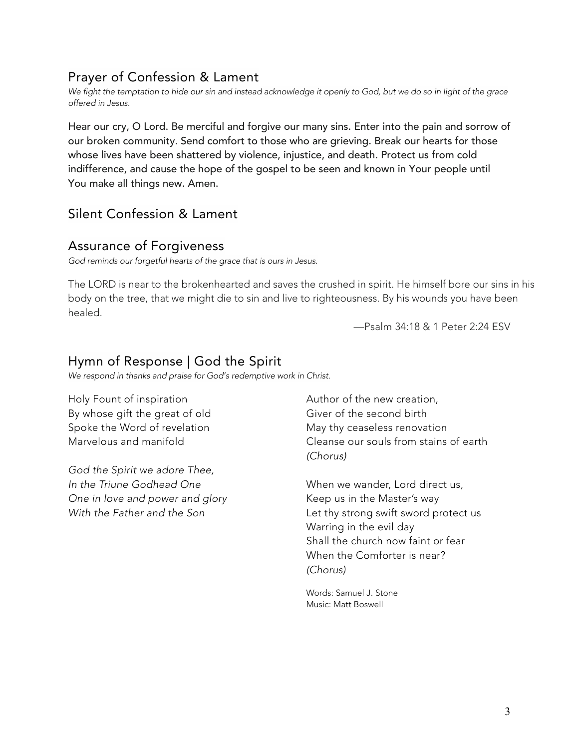### Prayer of Confession & Lament

We fight the temptation to hide our sin and instead acknowledge it openly to God, but we do so in light of the grace *offered in Jesus.*

Hear our cry, O Lord. Be merciful and forgive our many sins. Enter into the pain and sorrow of our broken community. Send comfort to those who are grieving. Break our hearts for those whose lives have been shattered by violence, injustice, and death. Protect us from cold indifference, and cause the hope of the gospel to be seen and known in Your people until You make all things new. Amen.

### Silent Confession & Lament

#### Assurance of Forgiveness

*God reminds our forgetful hearts of the grace that is ours in Jesus.*

The LORD is near to the brokenhearted and saves the crushed in spirit. He himself bore our sins in his body on the tree, that we might die to sin and live to righteousness. By his wounds you have been healed.

—Psalm 34:18 & 1 Peter 2:24 ESV

### Hymn of Response | God the Spirit

*We respond in thanks and praise for God's redemptive work in Christ.*

Holy Fount of inspiration By whose gift the great of old Spoke the Word of revelation Marvelous and manifold

*God the Spirit we adore Thee, In the Triune Godhead One One in love and power and glory With the Father and the Son*

Author of the new creation, Giver of the second birth May thy ceaseless renovation Cleanse our souls from stains of earth *(Chorus)*

When we wander, Lord direct us, Keep us in the Master's way Let thy strong swift sword protect us Warring in the evil day Shall the church now faint or fear When the Comforter is near? *(Chorus)*

Words: Samuel J. Stone Music: Matt Boswell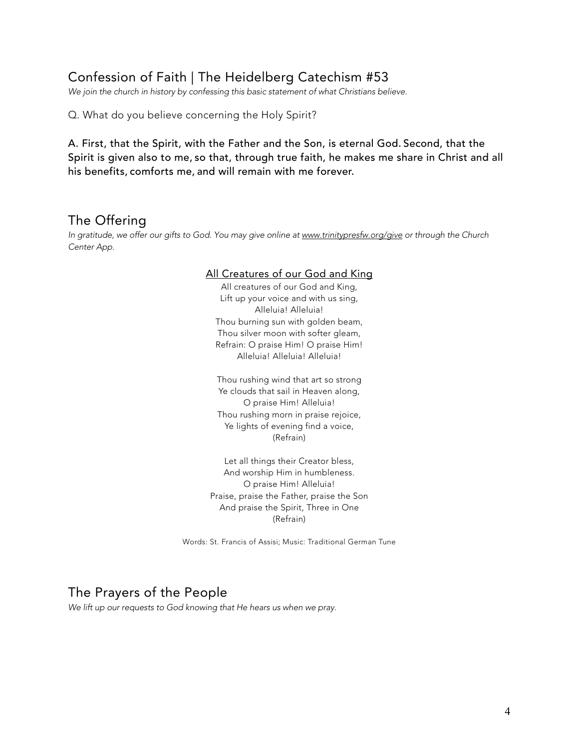### Confession of Faith | The Heidelberg Catechism #53

*We join the church in history by confessing this basic statement of what Christians believe.*

Q. What do you believe concerning the Holy Spirit?

A. First, that the Spirit, with the Father and the Son, is eternal God. Second, that the Spirit is given also to me, so that, through true faith, he makes me share in Christ and all his benefits, comforts me, and will remain with me forever.

### The Offering

*In gratitude, we offer our gifts to God. You may give online at www.trinitypresfw.org/give or through the Church Center App.*

#### All Creatures of our God and King

All creatures of our God and King, Lift up your voice and with us sing, Alleluia! Alleluia! Thou burning sun with golden beam, Thou silver moon with softer gleam, Refrain: O praise Him! O praise Him! Alleluia! Alleluia! Alleluia!

Thou rushing wind that art so strong Ye clouds that sail in Heaven along, O praise Him! Alleluia! Thou rushing morn in praise rejoice, Ye lights of evening find a voice, (Refrain)

Let all things their Creator bless, And worship Him in humbleness. O praise Him! Alleluia! Praise, praise the Father, praise the Son And praise the Spirit, Three in One (Refrain)

Words: St. Francis of Assisi; Music: Traditional German Tune

#### The Prayers of the People

*We lift up our requests to God knowing that He hears us when we pray.*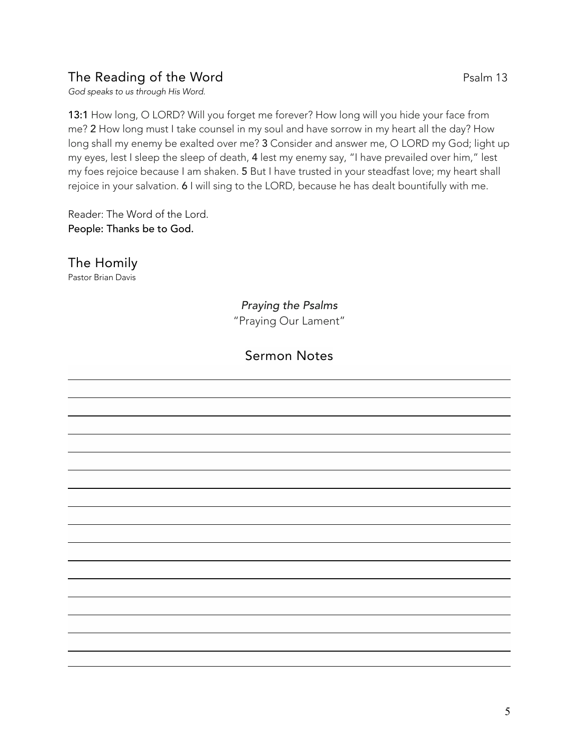### The Reading of the Word Psalm 13

*God speaks to us through His Word.*

13:1 How long, O LORD? Will you forget me forever? How long will you hide your face from me? 2 How long must I take counsel in my soul and have sorrow in my heart all the day? How long shall my enemy be exalted over me? 3 Consider and answer me, O LORD my God; light up my eyes, lest I sleep the sleep of death, 4 lest my enemy say, "I have prevailed over him," lest my foes rejoice because I am shaken. 5 But I have trusted in your steadfast love; my heart shall rejoice in your salvation. 6 I will sing to the LORD, because he has dealt bountifully with me.

Reader: The Word of the Lord. People: Thanks be to God.

The Homily Pastor Brian Davis

> *Praying the Psalms* "Praying Our Lament"

### Sermon Notes